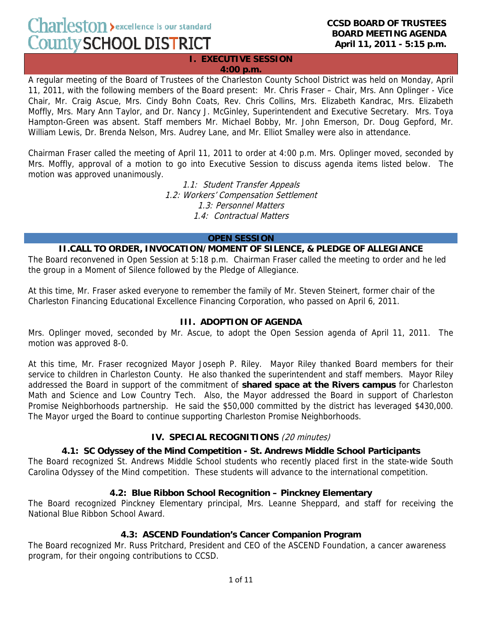**narleston** > excellence is our standard **County SCHOOL DISTRICT** 

**EXECUTIVE SESSION 4:00 p.m.**

A regular meeting of the Board of Trustees of the Charleston County School District was held on Monday, April 11, 2011, with the following members of the Board present: Mr. Chris Fraser – Chair, Mrs. Ann Oplinger - Vice Chair, Mr. Craig Ascue, Mrs. Cindy Bohn Coats, Rev. Chris Collins, Mrs. Elizabeth Kandrac, Mrs. Elizabeth Moffly, Mrs. Mary Ann Taylor, and Dr. Nancy J. McGinley, Superintendent and Executive Secretary. Mrs. Toya Hampton-Green was absent. Staff members Mr. Michael Bobby, Mr. John Emerson, Dr. Doug Gepford, Mr. William Lewis, Dr. Brenda Nelson, Mrs. Audrey Lane, and Mr. Elliot Smalley were also in attendance.

Chairman Fraser called the meeting of April 11, 2011 to order at 4:00 p.m. Mrs. Oplinger moved, seconded by Mrs. Moffly, approval of a motion to go into Executive Session to discuss agenda items listed below. The motion was approved unanimously.

> 1.1: Student Transfer Appeals 1.2: Workers' Compensation Settlement 1.3: Personnel Matters 1.4: Contractual Matters

#### **OPEN SESSION**

### **II.CALL TO ORDER, INVOCATION/MOMENT OF SILENCE, & PLEDGE OF ALLEGIANCE**

The Board reconvened in Open Session at 5:18 p.m. Chairman Fraser called the meeting to order and he led the group in a Moment of Silence followed by the Pledge of Allegiance.

At this time, Mr. Fraser asked everyone to remember the family of Mr. Steven Steinert, former chair of the Charleston Financing Educational Excellence Financing Corporation, who passed on April 6, 2011.

#### **III. ADOPTION OF AGENDA**

Mrs. Oplinger moved, seconded by Mr. Ascue, to adopt the Open Session agenda of April 11, 2011. The motion was approved 8-0.

At this time, Mr. Fraser recognized Mayor Joseph P. Riley. Mayor Riley thanked Board members for their service to children in Charleston County. He also thanked the superintendent and staff members. Mayor Riley addressed the Board in support of the commitment of **shared space at the Rivers campus** for Charleston Math and Science and Low Country Tech. Also, the Mayor addressed the Board in support of Charleston Promise Neighborhoods partnership. He said the \$50,000 committed by the district has leveraged \$430,000. The Mayor urged the Board to continue supporting Charleston Promise Neighborhoods.

### **IV. SPECIAL RECOGNITIONS** (20 minutes)

### **4.1: SC Odyssey of the Mind Competition - St. Andrews Middle School Participants**

The Board recognized St. Andrews Middle School students who recently placed first in the state-wide South Carolina Odyssey of the Mind competition. These students will advance to the international competition.

### **4.2: Blue Ribbon School Recognition – Pinckney Elementary**

The Board recognized Pinckney Elementary principal, Mrs. Leanne Sheppard, and staff for receiving the National Blue Ribbon School Award.

### **4.3: ASCEND Foundation's Cancer Companion Program**

The Board recognized Mr. Russ Pritchard, President and CEO of the ASCEND Foundation, a cancer awareness program, for their ongoing contributions to CCSD.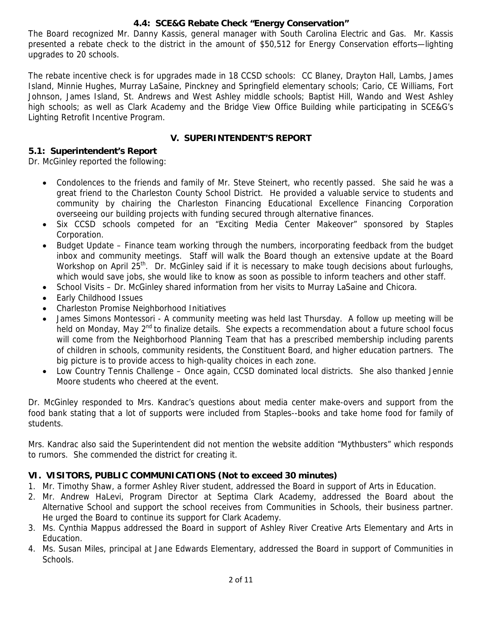### **4.4: SCE&G Rebate Check "Energy Conservation"**

The Board recognized Mr. Danny Kassis, general manager with South Carolina Electric and Gas. Mr. Kassis presented a rebate check to the district in the amount of \$50,512 for Energy Conservation efforts—lighting upgrades to 20 schools.

The rebate incentive check is for upgrades made in 18 CCSD schools: CC Blaney, Drayton Hall, Lambs, James Island, Minnie Hughes, Murray LaSaine, Pinckney and Springfield elementary schools; Cario, CE Williams, Fort Johnson, James Island, St. Andrews and West Ashley middle schools; Baptist Hill, Wando and West Ashley high schools; as well as Clark Academy and the Bridge View Office Building while participating in SCE&G's Lighting Retrofit Incentive Program.

## **V. SUPERINTENDENT'S REPORT**

### **5.1: Superintendent's Report**

Dr. McGinley reported the following:

- Condolences to the friends and family of Mr. Steve Steinert, who recently passed. She said he was a great friend to the Charleston County School District. He provided a valuable service to students and community by chairing the Charleston Financing Educational Excellence Financing Corporation overseeing our building projects with funding secured through alternative finances.
- Six CCSD schools competed for an "Exciting Media Center Makeover" sponsored by Staples Corporation.
- Budget Update Finance team working through the numbers, incorporating feedback from the budget inbox and community meetings. Staff will walk the Board though an extensive update at the Board Workshop on April 25<sup>th</sup>. Dr. McGinley said if it is necessary to make tough decisions about furloughs, which would save jobs, she would like to know as soon as possible to inform teachers and other staff.
- School Visits Dr. McGinley shared information from her visits to Murray LaSaine and Chicora.
- Early Childhood Issues
- Charleston Promise Neighborhood Initiatives
- James Simons Montessori A community meeting was held last Thursday. A follow up meeting will be held on Monday, May 2<sup>nd</sup> to finalize details. She expects a recommendation about a future school focus will come from the Neighborhood Planning Team that has a prescribed membership including parents of children in schools, community residents, the Constituent Board, and higher education partners. The big picture is to provide access to high-quality choices in each zone.
- Low Country Tennis Challenge Once again, CCSD dominated local districts. She also thanked Jennie Moore students who cheered at the event.

Dr. McGinley responded to Mrs. Kandrac's questions about media center make-overs and support from the food bank stating that a lot of supports were included from Staples--books and take home food for family of students.

Mrs. Kandrac also said the Superintendent did not mention the website addition "Mythbusters" which responds to rumors. She commended the district for creating it.

## **VI. VISITORS, PUBLIC COMMUNICATIONS (Not to exceed 30 minutes)**

- 1. Mr. Timothy Shaw, a former Ashley River student, addressed the Board in support of Arts in Education.
- 2. Mr. Andrew HaLevi, Program Director at Septima Clark Academy, addressed the Board about the Alternative School and support the school receives from Communities in Schools, their business partner. He urged the Board to continue its support for Clark Academy.
- 3. Ms. Cynthia Mappus addressed the Board in support of Ashley River Creative Arts Elementary and Arts in Education.
- 4. Ms. Susan Miles, principal at Jane Edwards Elementary, addressed the Board in support of Communities in Schools.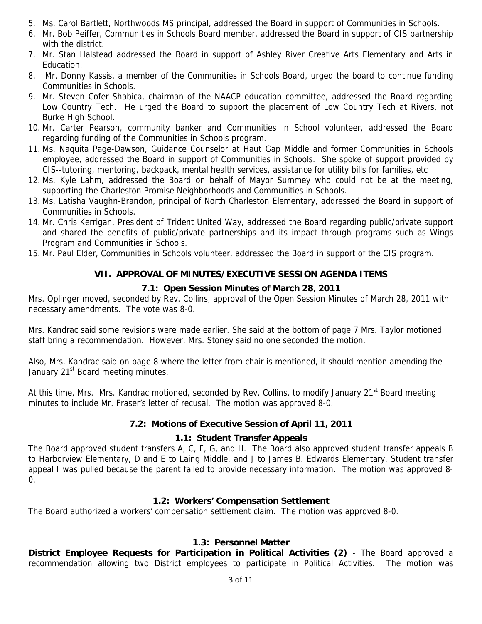- 5. Ms. Carol Bartlett, Northwoods MS principal, addressed the Board in support of Communities in Schools.
- 6. Mr. Bob Peiffer, Communities in Schools Board member, addressed the Board in support of CIS partnership with the district.
- 7. Mr. Stan Halstead addressed the Board in support of Ashley River Creative Arts Elementary and Arts in Education.
- 8. Mr. Donny Kassis, a member of the Communities in Schools Board, urged the board to continue funding Communities in Schools.
- 9. Mr. Steven Cofer Shabica, chairman of the NAACP education committee, addressed the Board regarding Low Country Tech. He urged the Board to support the placement of Low Country Tech at Rivers, not Burke High School.
- 10. Mr. Carter Pearson, community banker and Communities in School volunteer, addressed the Board regarding funding of the Communities in Schools program.
- 11. Ms. Naquita Page-Dawson, Guidance Counselor at Haut Gap Middle and former Communities in Schools employee, addressed the Board in support of Communities in Schools. She spoke of support provided by CIS--tutoring, mentoring, backpack, mental health services, assistance for utility bills for families, etc
- 12. Ms. Kyle Lahm, addressed the Board on behalf of Mayor Summey who could not be at the meeting, supporting the Charleston Promise Neighborhoods and Communities in Schools.
- 13. Ms. Latisha Vaughn-Brandon, principal of North Charleston Elementary, addressed the Board in support of Communities in Schools.
- 14. Mr. Chris Kerrigan, President of Trident United Way, addressed the Board regarding public/private support and shared the benefits of public/private partnerships and its impact through programs such as Wings Program and Communities in Schools.
- 15. Mr. Paul Elder, Communities in Schools volunteer, addressed the Board in support of the CIS program.

# **VII. APPROVAL OF MINUTES/EXECUTIVE SESSION AGENDA ITEMS**

## **7.1: Open Session Minutes of March 28, 2011**

Mrs. Oplinger moved, seconded by Rev. Collins, approval of the Open Session Minutes of March 28, 2011 with necessary amendments. The vote was 8-0.

Mrs. Kandrac said some revisions were made earlier. She said at the bottom of page 7 Mrs. Taylor motioned staff bring a recommendation. However, Mrs. Stoney said no one seconded the motion.

Also, Mrs. Kandrac said on page 8 where the letter from chair is mentioned, it should mention amending the January 21<sup>st</sup> Board meeting minutes.

At this time, Mrs. Mrs. Kandrac motioned, seconded by Rev. Collins, to modify January 21<sup>st</sup> Board meeting minutes to include Mr. Fraser's letter of recusal. The motion was approved 8-0.

## **7.2: Motions of Executive Session of April 11, 2011**

### **1.1: Student Transfer Appeals**

The Board approved student transfers A, C, F, G, and H. The Board also approved student transfer appeals B to Harborview Elementary, D and E to Laing Middle, and J to James B. Edwards Elementary. Student transfer appeal I was pulled because the parent failed to provide necessary information. The motion was approved 8- 0.

### **1.2: Workers' Compensation Settlement**

The Board authorized a workers' compensation settlement claim. The motion was approved 8-0.

### **1.3: Personnel Matter**

**District Employee Requests for Participation in Political Activities (2)** - The Board approved a recommendation allowing two District employees to participate in Political Activities. The motion was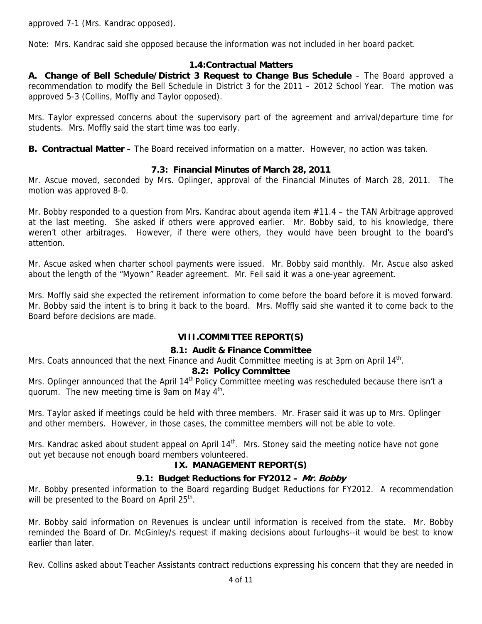approved 7-1 (Mrs. Kandrac opposed).

Note: Mrs. Kandrac said she opposed because the information was not included in her board packet.

### **1.4:Contractual Matters**

**A. Change of Bell Schedule/District 3 Request to Change Bus Schedule** – The Board approved a recommendation to modify the Bell Schedule in District 3 for the 2011 – 2012 School Year. The motion was approved 5-3 (Collins, Moffly and Taylor opposed).

Mrs. Taylor expressed concerns about the supervisory part of the agreement and arrival/departure time for students. Mrs. Moffly said the start time was too early.

**B. Contractual Matter** – The Board received information on a matter. However, no action was taken.

### **7.3: Financial Minutes of March 28, 2011**

Mr. Ascue moved, seconded by Mrs. Oplinger, approval of the Financial Minutes of March 28, 2011. The motion was approved 8-0.

Mr. Bobby responded to a question from Mrs. Kandrac about agenda item #11.4 – the TAN Arbitrage approved at the last meeting. She asked if others were approved earlier. Mr. Bobby said, to his knowledge, there weren't other arbitrages. However, if there were others, they would have been brought to the board's attention.

Mr. Ascue asked when charter school payments were issued. Mr. Bobby said monthly. Mr. Ascue also asked about the length of the "Myown" Reader agreement. Mr. Feil said it was a one-year agreement.

Mrs. Moffly said she expected the retirement information to come before the board before it is moved forward. Mr. Bobby said the intent is to bring it back to the board. Mrs. Moffly said she wanted it to come back to the Board before decisions are made.

### **VIII.COMMITTEE REPORT(S)**

#### **8.1: Audit & Finance Committee**

Mrs. Coats announced that the next Finance and Audit Committee meeting is at 3pm on April 14<sup>th</sup>.

#### **8.2: Policy Committee**

Mrs. Oplinger announced that the April 14<sup>th</sup> Policy Committee meeting was rescheduled because there isn't a quorum. The new meeting time is 9am on May  $4<sup>th</sup>$ .

Mrs. Taylor asked if meetings could be held with three members. Mr. Fraser said it was up to Mrs. Oplinger and other members. However, in those cases, the committee members will not be able to vote.

Mrs. Kandrac asked about student appeal on April  $14<sup>th</sup>$ . Mrs. Stoney said the meeting notice have not gone out yet because not enough board members volunteered.

### **IX. MANAGEMENT REPORT(S)**

### **9.1: Budget Reductions for FY2012 – Mr. Bobby**

Mr. Bobby presented information to the Board regarding Budget Reductions for FY2012. A recommendation will be presented to the Board on April 25<sup>th</sup>.

Mr. Bobby said information on Revenues is unclear until information is received from the state. Mr. Bobby reminded the Board of Dr. McGinley/s request if making decisions about furloughs--it would be best to know earlier than later.

Rev. Collins asked about Teacher Assistants contract reductions expressing his concern that they are needed in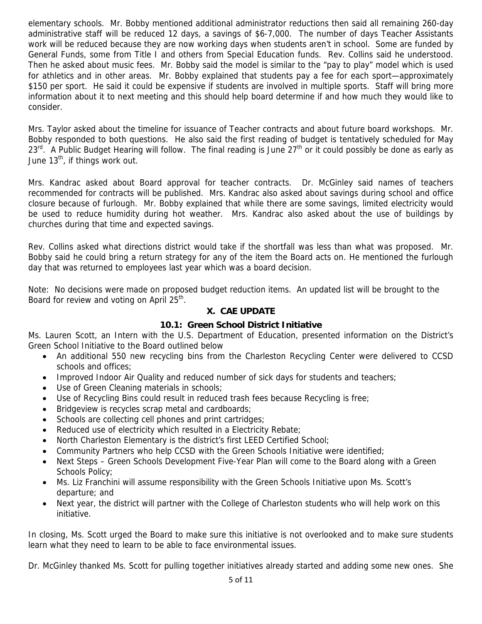elementary schools. Mr. Bobby mentioned additional administrator reductions then said all remaining 260-day administrative staff will be reduced 12 days, a savings of \$6-7,000. The number of days Teacher Assistants work will be reduced because they are now working days when students aren't in school. Some are funded by General Funds, some from Title I and others from Special Education funds. Rev. Collins said he understood. Then he asked about music fees. Mr. Bobby said the model is similar to the "pay to play" model which is used for athletics and in other areas. Mr. Bobby explained that students pay a fee for each sport—approximately \$150 per sport. He said it could be expensive if students are involved in multiple sports. Staff will bring more information about it to next meeting and this should help board determine if and how much they would like to consider.

Mrs. Taylor asked about the timeline for issuance of Teacher contracts and about future board workshops. Mr. Bobby responded to both questions. He also said the first reading of budget is tentatively scheduled for May 23<sup>rd.</sup> A Public Budget Hearing will follow. The final reading is June 27<sup>th</sup> or it could possibly be done as early as June 13<sup>th</sup>, if things work out.

Mrs. Kandrac asked about Board approval for teacher contracts. Dr. McGinley said names of teachers recommended for contracts will be published. Mrs. Kandrac also asked about savings during school and office closure because of furlough. Mr. Bobby explained that while there are some savings, limited electricity would be used to reduce humidity during hot weather. Mrs. Kandrac also asked about the use of buildings by churches during that time and expected savings.

Rev. Collins asked what directions district would take if the shortfall was less than what was proposed. Mr. Bobby said he could bring a return strategy for any of the item the Board acts on. He mentioned the furlough day that was returned to employees last year which was a board decision.

Note: No decisions were made on proposed budget reduction items. An updated list will be brought to the Board for review and voting on April 25<sup>th</sup>.

### **X. CAE UPDATE**

### **10.1: Green School District Initiative**

Ms. Lauren Scott, an Intern with the U.S. Department of Education, presented information on the District's Green School Initiative to the Board outlined below

- An additional 550 new recycling bins from the Charleston Recycling Center were delivered to CCSD schools and offices;
- Improved Indoor Air Quality and reduced number of sick days for students and teachers;
- Use of Green Cleaning materials in schools;
- Use of Recycling Bins could result in reduced trash fees because Recycling is free;
- Bridgeview is recycles scrap metal and cardboards;
- Schools are collecting cell phones and print cartridges;
- Reduced use of electricity which resulted in a Electricity Rebate;
- North Charleston Elementary is the district's first LEED Certified School;
- Community Partners who help CCSD with the Green Schools Initiative were identified;
- Next Steps Green Schools Development Five-Year Plan will come to the Board along with a Green Schools Policy;
- Ms. Liz Franchini will assume responsibility with the Green Schools Initiative upon Ms. Scott's departure; and
- Next year, the district will partner with the College of Charleston students who will help work on this initiative.

In closing, Ms. Scott urged the Board to make sure this initiative is not overlooked and to make sure students learn what they need to learn to be able to face environmental issues.

Dr. McGinley thanked Ms. Scott for pulling together initiatives already started and adding some new ones. She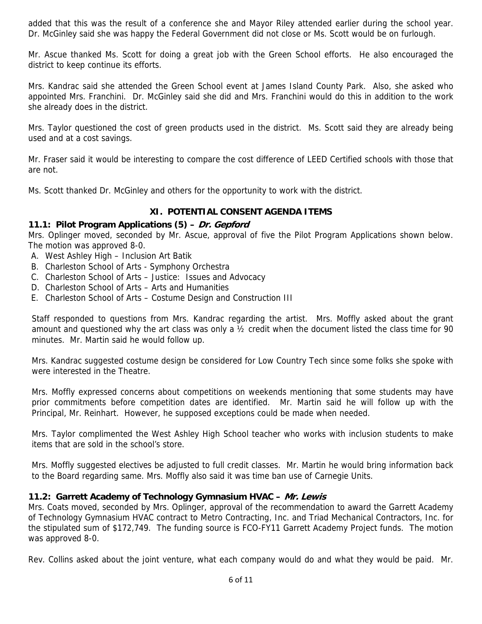added that this was the result of a conference she and Mayor Riley attended earlier during the school year. Dr. McGinley said she was happy the Federal Government did not close or Ms. Scott would be on furlough.

Mr. Ascue thanked Ms. Scott for doing a great job with the Green School efforts. He also encouraged the district to keep continue its efforts.

Mrs. Kandrac said she attended the Green School event at James Island County Park. Also, she asked who appointed Mrs. Franchini. Dr. McGinley said she did and Mrs. Franchini would do this in addition to the work she already does in the district.

Mrs. Taylor questioned the cost of green products used in the district. Ms. Scott said they are already being used and at a cost savings.

Mr. Fraser said it would be interesting to compare the cost difference of LEED Certified schools with those that are not.

Ms. Scott thanked Dr. McGinley and others for the opportunity to work with the district.

### **XI. POTENTIAL CONSENT AGENDA ITEMS**

#### **11.1: Pilot Program Applications (5) – Dr. Gepford**

Mrs. Oplinger moved, seconded by Mr. Ascue, approval of five the Pilot Program Applications shown below. The motion was approved 8-0.

- A. West Ashley High Inclusion Art Batik
- B. Charleston School of Arts Symphony Orchestra
- C. Charleston School of Arts Justice: Issues and Advocacy
- D. Charleston School of Arts Arts and Humanities
- E. Charleston School of Arts Costume Design and Construction III

Staff responded to questions from Mrs. Kandrac regarding the artist. Mrs. Moffly asked about the grant amount and questioned why the art class was only a ½ credit when the document listed the class time for 90 minutes. Mr. Martin said he would follow up.

Mrs. Kandrac suggested costume design be considered for Low Country Tech since some folks she spoke with were interested in the Theatre.

Mrs. Moffly expressed concerns about competitions on weekends mentioning that some students may have prior commitments before competition dates are identified. Mr. Martin said he will follow up with the Principal, Mr. Reinhart. However, he supposed exceptions could be made when needed.

Mrs. Taylor complimented the West Ashley High School teacher who works with inclusion students to make items that are sold in the school's store.

Mrs. Moffly suggested electives be adjusted to full credit classes. Mr. Martin he would bring information back to the Board regarding same. Mrs. Moffly also said it was time ban use of Carnegie Units.

#### **11.2: Garrett Academy of Technology Gymnasium HVAC – Mr. Lewis**

Mrs. Coats moved, seconded by Mrs. Oplinger, approval of the recommendation to award the Garrett Academy of Technology Gymnasium HVAC contract to Metro Contracting, Inc. and Triad Mechanical Contractors, Inc. for the stipulated sum of \$172,749. The funding source is FCO-FY11 Garrett Academy Project funds. The motion was approved 8-0.

Rev. Collins asked about the joint venture, what each company would do and what they would be paid. Mr.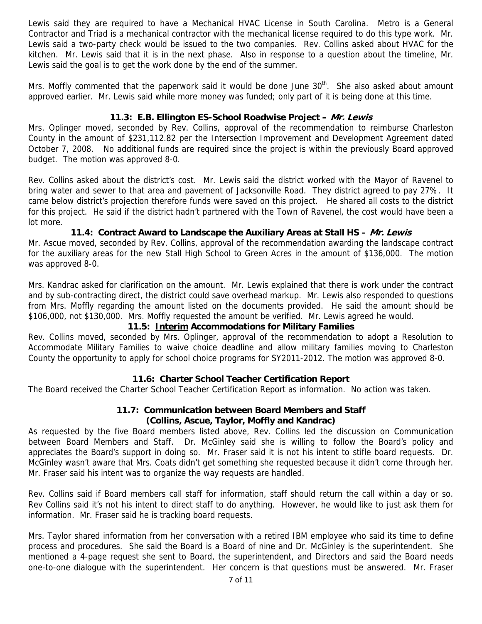Lewis said they are required to have a Mechanical HVAC License in South Carolina. Metro is a General Contractor and Triad is a mechanical contractor with the mechanical license required to do this type work. Mr. Lewis said a two-party check would be issued to the two companies. Rev. Collins asked about HVAC for the kitchen. Mr. Lewis said that it is in the next phase. Also in response to a question about the timeline, Mr. Lewis said the goal is to get the work done by the end of the summer.

Mrs. Moffly commented that the paperwork said it would be done June  $30<sup>th</sup>$ . She also asked about amount approved earlier. Mr. Lewis said while more money was funded; only part of it is being done at this time.

### **11.3: E.B. Ellington ES-School Roadwise Project – Mr. Lewis**

Mrs. Oplinger moved, seconded by Rev. Collins, approval of the recommendation to reimburse Charleston County in the amount of \$231,112.82 per the Intersection Improvement and Development Agreement dated October 7, 2008. No additional funds are required since the project is within the previously Board approved budget. The motion was approved 8-0.

Rev. Collins asked about the district's cost. Mr. Lewis said the district worked with the Mayor of Ravenel to bring water and sewer to that area and pavement of Jacksonville Road. They district agreed to pay 27%. It came below district's projection therefore funds were saved on this project. He shared all costs to the district for this project. He said if the district hadn't partnered with the Town of Ravenel, the cost would have been a lot more.

#### **11.4: Contract Award to Landscape the Auxiliary Areas at Stall HS – Mr. Lewis**

Mr. Ascue moved, seconded by Rev. Collins, approval of the recommendation awarding the landscape contract for the auxiliary areas for the new Stall High School to Green Acres in the amount of \$136,000. The motion was approved 8-0.

Mrs. Kandrac asked for clarification on the amount. Mr. Lewis explained that there is work under the contract and by sub-contracting direct, the district could save overhead markup. Mr. Lewis also responded to questions from Mrs. Moffly regarding the amount listed on the documents provided. He said the amount should be \$106,000, not \$130,000. Mrs. Moffly requested the amount be verified. Mr. Lewis agreed he would.

#### **11.5: Interim Accommodations for Military Families**

Rev. Collins moved, seconded by Mrs. Oplinger, approval of the recommendation to adopt a Resolution to Accommodate Military Families to waive choice deadline and allow military families moving to Charleston County the opportunity to apply for school choice programs for SY2011-2012. The motion was approved 8-0.

### **11.6: Charter School Teacher Certification Report**

The Board received the Charter School Teacher Certification Report as information. No action was taken.

### **11.7: Communication between Board Members and Staff (Collins, Ascue, Taylor, Moffly and Kandrac)**

As requested by the five Board members listed above, Rev. Collins led the discussion on Communication between Board Members and Staff. Dr. McGinley said she is willing to follow the Board's policy and appreciates the Board's support in doing so. Mr. Fraser said it is not his intent to stifle board requests. Dr. McGinley wasn't aware that Mrs. Coats didn't get something she requested because it didn't come through her. Mr. Fraser said his intent was to organize the way requests are handled.

Rev. Collins said if Board members call staff for information, staff should return the call within a day or so. Rev Collins said it's not his intent to direct staff to do anything. However, he would like to just ask them for information. Mr. Fraser said he is tracking board requests.

Mrs. Taylor shared information from her conversation with a retired IBM employee who said its time to define process and procedures. She said the Board is a Board of nine and Dr. McGinley is the superintendent. She mentioned a 4-page request she sent to Board, the superintendent, and Directors and said the Board needs one-to-one dialogue with the superintendent. Her concern is that questions must be answered. Mr. Fraser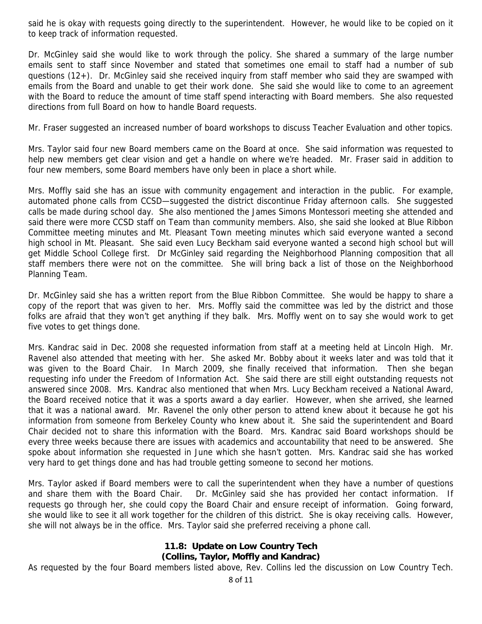said he is okay with requests going directly to the superintendent. However, he would like to be copied on it to keep track of information requested.

Dr. McGinley said she would like to work through the policy. She shared a summary of the large number emails sent to staff since November and stated that sometimes one email to staff had a number of sub questions (12+). Dr. McGinley said she received inquiry from staff member who said they are swamped with emails from the Board and unable to get their work done. She said she would like to come to an agreement with the Board to reduce the amount of time staff spend interacting with Board members. She also requested directions from full Board on how to handle Board requests.

Mr. Fraser suggested an increased number of board workshops to discuss Teacher Evaluation and other topics.

Mrs. Taylor said four new Board members came on the Board at once. She said information was requested to help new members get clear vision and get a handle on where we're headed. Mr. Fraser said in addition to four new members, some Board members have only been in place a short while.

Mrs. Moffly said she has an issue with community engagement and interaction in the public. For example, automated phone calls from CCSD—suggested the district discontinue Friday afternoon calls. She suggested calls be made during school day. She also mentioned the James Simons Montessori meeting she attended and said there were more CCSD staff on Team than community members. Also, she said she looked at Blue Ribbon Committee meeting minutes and Mt. Pleasant Town meeting minutes which said everyone wanted a second high school in Mt. Pleasant. She said even Lucy Beckham said everyone wanted a second high school but will get Middle School College first. Dr McGinley said regarding the Neighborhood Planning composition that all staff members there were not on the committee. She will bring back a list of those on the Neighborhood Planning Team.

Dr. McGinley said she has a written report from the Blue Ribbon Committee. She would be happy to share a copy of the report that was given to her. Mrs. Moffly said the committee was led by the district and those folks are afraid that they won't get anything if they balk. Mrs. Moffly went on to say she would work to get five votes to get things done.

Mrs. Kandrac said in Dec. 2008 she requested information from staff at a meeting held at Lincoln High. Mr. Ravenel also attended that meeting with her. She asked Mr. Bobby about it weeks later and was told that it was given to the Board Chair. In March 2009, she finally received that information. Then she began requesting info under the Freedom of Information Act. She said there are still eight outstanding requests not answered since 2008. Mrs. Kandrac also mentioned that when Mrs. Lucy Beckham received a National Award, the Board received notice that it was a sports award a day earlier. However, when she arrived, she learned that it was a national award. Mr. Ravenel the only other person to attend knew about it because he got his information from someone from Berkeley County who knew about it. She said the superintendent and Board Chair decided not to share this information with the Board. Mrs. Kandrac said Board workshops should be every three weeks because there are issues with academics and accountability that need to be answered. She spoke about information she requested in June which she hasn't gotten. Mrs. Kandrac said she has worked very hard to get things done and has had trouble getting someone to second her motions.

Mrs. Taylor asked if Board members were to call the superintendent when they have a number of questions and share them with the Board Chair. Dr. McGinley said she has provided her contact information. If requests go through her, she could copy the Board Chair and ensure receipt of information. Going forward, she would like to see it all work together for the children of this district. She is okay receiving calls. However, she will not always be in the office. Mrs. Taylor said she preferred receiving a phone call.

#### **11.8: Update on Low Country Tech (Collins, Taylor, Moffly and Kandrac)**

As requested by the four Board members listed above, Rev. Collins led the discussion on Low Country Tech.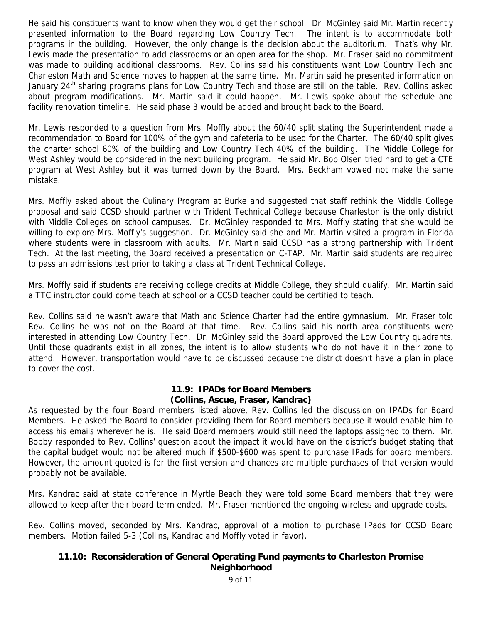He said his constituents want to know when they would get their school. Dr. McGinley said Mr. Martin recently presented information to the Board regarding Low Country Tech. The intent is to accommodate both programs in the building. However, the only change is the decision about the auditorium. That's why Mr. Lewis made the presentation to add classrooms or an open area for the shop. Mr. Fraser said no commitment was made to building additional classrooms. Rev. Collins said his constituents want Low Country Tech and Charleston Math and Science moves to happen at the same time. Mr. Martin said he presented information on January 24<sup>th</sup> sharing programs plans for Low Country Tech and those are still on the table. Rev. Collins asked about program modifications. Mr. Martin said it could happen. Mr. Lewis spoke about the schedule and facility renovation timeline. He said phase 3 would be added and brought back to the Board.

Mr. Lewis responded to a question from Mrs. Moffly about the 60/40 split stating the Superintendent made a recommendation to Board for 100% of the gym and cafeteria to be used for the Charter. The 60/40 split gives the charter school 60% of the building and Low Country Tech 40% of the building. The Middle College for West Ashley would be considered in the next building program. He said Mr. Bob Olsen tried hard to get a CTE program at West Ashley but it was turned down by the Board. Mrs. Beckham vowed not make the same mistake.

Mrs. Moffly asked about the Culinary Program at Burke and suggested that staff rethink the Middle College proposal and said CCSD should partner with Trident Technical College because Charleston is the only district with Middle Colleges on school campuses. Dr. McGinley responded to Mrs. Moffly stating that she would be willing to explore Mrs. Moffly's suggestion. Dr. McGinley said she and Mr. Martin visited a program in Florida where students were in classroom with adults. Mr. Martin said CCSD has a strong partnership with Trident Tech. At the last meeting, the Board received a presentation on C-TAP. Mr. Martin said students are required to pass an admissions test prior to taking a class at Trident Technical College.

Mrs. Moffly said if students are receiving college credits at Middle College, they should qualify. Mr. Martin said a TTC instructor could come teach at school or a CCSD teacher could be certified to teach.

Rev. Collins said he wasn't aware that Math and Science Charter had the entire gymnasium. Mr. Fraser told Rev. Collins he was not on the Board at that time. Rev. Collins said his north area constituents were interested in attending Low Country Tech. Dr. McGinley said the Board approved the Low Country quadrants. Until those quadrants exist in all zones, the intent is to allow students who do not have it in their zone to attend. However, transportation would have to be discussed because the district doesn't have a plan in place to cover the cost.

#### **11.9: IPADs for Board Members (Collins, Ascue, Fraser, Kandrac)**

As requested by the four Board members listed above, Rev. Collins led the discussion on IPADs for Board Members. He asked the Board to consider providing them for Board members because it would enable him to access his emails wherever he is. He said Board members would still need the laptops assigned to them. Mr. Bobby responded to Rev. Collins' question about the impact it would have on the district's budget stating that the capital budget would not be altered much if \$500-\$600 was spent to purchase IPads for board members. However, the amount quoted is for the first version and chances are multiple purchases of that version would probably not be available.

Mrs. Kandrac said at state conference in Myrtle Beach they were told some Board members that they were allowed to keep after their board term ended. Mr. Fraser mentioned the ongoing wireless and upgrade costs.

Rev. Collins moved, seconded by Mrs. Kandrac, approval of a motion to purchase IPads for CCSD Board members. Motion failed 5-3 (Collins, Kandrac and Moffly voted in favor).

### **11.10: Reconsideration of General Operating Fund payments to Charleston Promise Neighborhood**